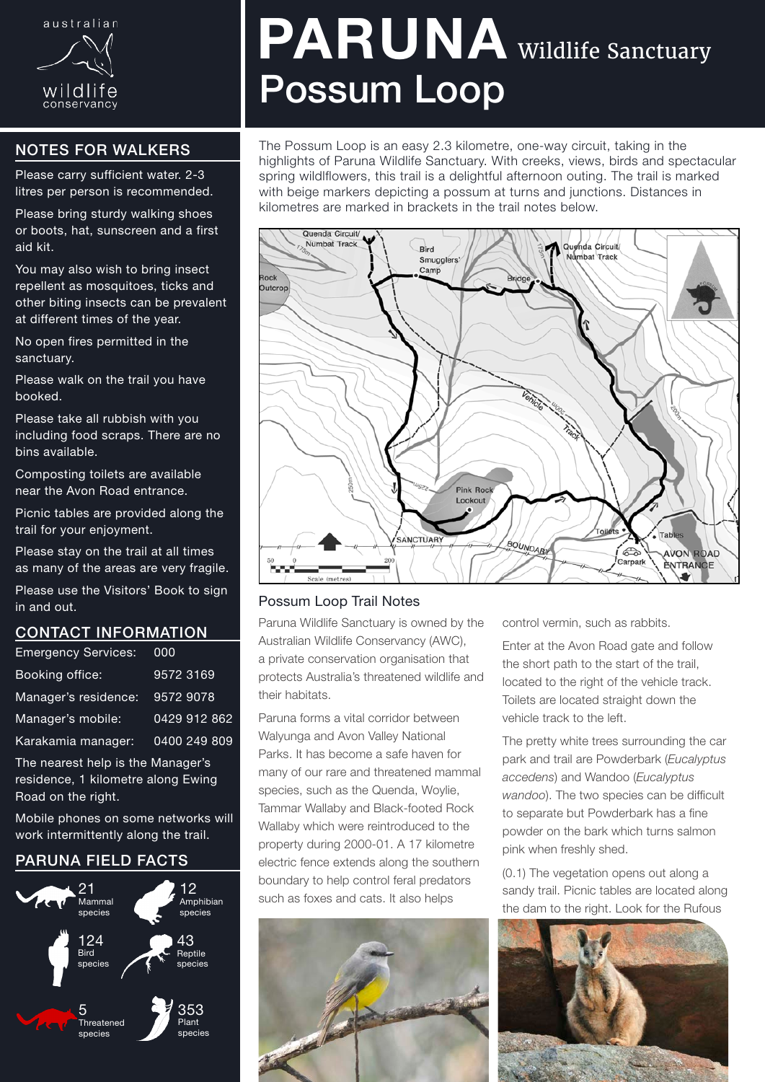

# NOTES FOR WALKERS

Please carry sufficient water. 2-3 litres per person is recommended.

Please bring sturdy walking shoes or boots, hat, sunscreen and a first aid kit.

You may also wish to bring insect repellent as mosquitoes, ticks and other biting insects can be prevalent at different times of the year.

No open fires permitted in the sanctuary.

Please walk on the trail you have booked.

Please take all rubbish with you including food scraps. There are no bins available.

Composting toilets are available near the Avon Road entrance.

Picnic tables are provided along the trail for your enjoyment.

Please stay on the trail at all times as many of the areas are very fragile.

Please use the Visitors' Book to sign in and out.

### CONTACT INFORMATION

| <b>Emergency Services:</b>                                             | 000          |
|------------------------------------------------------------------------|--------------|
| Booking office:                                                        | 9572 3169    |
| Manager's residence:                                                   | 9572 9078    |
| Manager's mobile:                                                      | 0429 912 862 |
| Karakamia manager:                                                     | 0400 249 809 |
| The nearest help is the Manager's<br>racidanca 1 kilomatra along Ewing |              |

residence, 1 kilometre along Ewing Road on the right.

Mobile phones on some networks will work intermittently along the trail.

## PARUNA FIELD FACTS



# PARUNA Wildlife Sanctuary Possum Loop

The Possum Loop is an easy 2.3 kilometre, one-way circuit, taking in the highlights of Paruna Wildlife Sanctuary. With creeks, views, birds and spectacular spring wildlflowers, this trail is a delightful afternoon outing. The trail is marked with beige markers depicting a possum at turns and junctions. Distances in kilometres are marked in brackets in the trail notes below.



### Possum Loop Trail Notes

Paruna Wildlife Sanctuary is owned by the Australian Wildlife Conservancy (AWC), a private conservation organisation that protects Australia's threatened wildlife and their habitats.

Paruna forms a vital corridor between Walyunga and Avon Valley National Parks. It has become a safe haven for many of our rare and threatened mammal species, such as the Quenda, Woylie, Tammar Wallaby and Black-footed Rock Wallaby which were reintroduced to the property during 2000-01. A 17 kilometre electric fence extends along the southern boundary to help control feral predators such as foxes and cats. It also helps



control vermin, such as rabbits.

Enter at the Avon Road gate and follow the short path to the start of the trail, located to the right of the vehicle track. Toilets are located straight down the vehicle track to the left.

The pretty white trees surrounding the car park and trail are Powderbark (*Eucalyptus accedens*) and Wandoo (*Eucalyptus wandoo*). The two species can be difficult to separate but Powderbark has a fine powder on the bark which turns salmon pink when freshly shed.

(0.1) The vegetation opens out along a sandy trail. Picnic tables are located along the dam to the right. Look for the Rufous